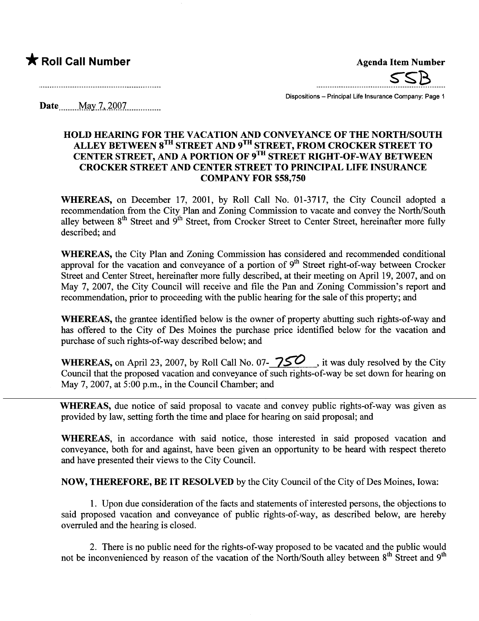

Dispositions - Principal Life Insurance Company: Page 1

Date. ..... .M"w..7..\_iQQ7.............

#### HOLD HEARING FOR THE VACATION AND CONVEYANCE OF THE NORTH/SOUTH ALLEY BETWEEN 8<sup>TH</sup> STREET AND 9<sup>TH</sup> STREET, FROM CROCKER STREET TO CENTER STREET, AND A PORTION OF 9TH STREET RIGHT-OF-WAY BETWEEN CROCKER STREET AND CENTER STREET TO PRINCIPAL LIFE INSURANCE **COMPANY FOR \$58,750**

WHEREAS, on December 17, 2001, by Roll Call No. 01-3717, the City Council adopted a recommendation from the City Plan and Zoning Commission to vacate and convey the North/South alley between 8<sup>th</sup> Street and 9<sup>th</sup> Street, from Crocker Street to Center Street, hereinafter more fully described; and

WHEREAS, the City Plan and Zoning Commission has considered and recommended conditional approval for the vacation and conveyance of a portion of 9<sup>th</sup> Street right-of-way between Crocker Street and Center Street, hereinafter more fully described, at their meeting on April 19,2007, and on May 7, 2007, the City Council will receive and file the Pan and Zoning Commission's report and recommendation, prior to proceeding with the public hearing for the sale of this property; and

WHEREAS, the grantee identified below is the owner of property abutting such rights-of-way and has offered to the City of Des Moines the purchase price identified below for the vacation and purchase of such rights-of-way described below; and

WHEREAS, on April 23, 2007, by Roll Call No. 07- $\frac{750}{\sqrt{25}}$ , it was duly resolved by the City Council that the proposed vacation and conveyance of such rights-of-way be set down for hearing on May 7, 2007, at 5:00 p.m., in the Council Chamber; and

WHEREAS, due notice of said proposal to vacate and convey public rights-of-way was given as provided by law, setting forth the time and place for hearng on said proposal; and

WHEREAS, in accordance with said notice, those interested in said proposed vacation and conveyance, both for and against, have been given an opportunity to be heard with respect thereto and have presented their views to the City CounciL.

NOW, THEREFORE, BE IT RESOLVED by the City Council of the City of Des Moines, Iowa:

1. Upon due consideration of the facts and statements of interested persons, the objections to said proposed vacation and conveyance of public rights-of-way, as described below, are hereby overruled and the hearing is closed.

2. There is no public need for the rights-of-way proposed to be vacated and the public would not be inconvenienced by reason of the vacation of the North/South alley between  $8<sup>th</sup>$  Street and  $9<sup>th</sup>$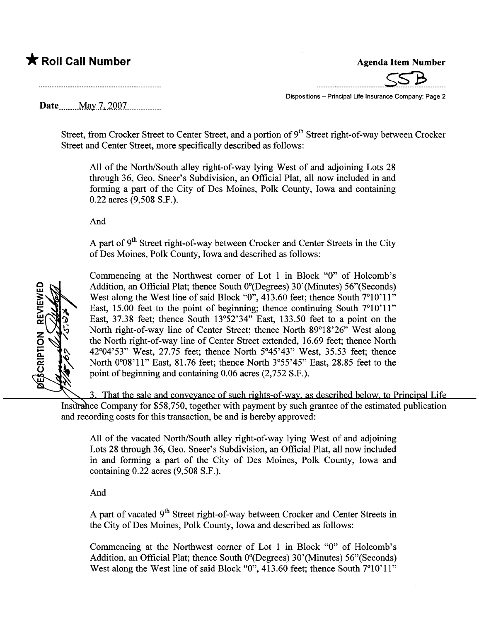\_.............................SsJ.......

Dispositions - Principal Life Insurance Company: Page 2

Date. ......Ml,y..7 ...4..QQ7..mo mm \_ m

Street, from Crocker Street to Center Street, and a portion of 9<sup>th</sup> Street right-of-way between Crocker Street and Center Street, more specifically described as follows:

All of the North/South alley right-of-way lying West of and adjoining Lots 28 through 36, Geo. Sneer's Subdivision, an Official Plat, all now included in and forming a part of the City of Des Moines, Polk County, Iowa and containing 0.22 acres (9,508 S.F.).

And

A part of  $9<sup>th</sup>$  Street right-of-way between Crocker and Center Streets in the City of Des Moines, Polk County, Iowa and described as follows:



Commencing at the Northwest comer of Lot 1 in Block "0" of Holcomb's Addition, an Official Plat; thence South  $0^{\circ}$ (Degrees) 30'(Minutes) 56"(Seconds) West along the West line of said Block "0", 413.60 feet; thence South 7°10'11" East, 15.00 feet to the point of beginning; thence continuing South  $7^{\circ}10^{\circ}11^{\prime\prime}$ East, 37.38 feet; thence South 13°52'34" East, 133.50 feet to a point on the North right-of-way line of Center Street; thence North 89°18'26" West along the North right-of-way line of Center Street extended, 16.69 feet; thence North 42°04'53" West, 27.75 feet; thence North 5°45'43" West, 35.53 feet; thence North 0°08'11" East, 81.76 feet; thence North 3°55'45" East, 28.85 feet to the point of beginning and containing 0.06 acres (2,752 S.F.).

3. That the sale and conveyance of such rights-of-way, as described below, to Principal Life Insurance Company for \$58,750, together with payment by such grantee of the estimated publication and recording costs for this transaction, be and is hereby approved:

All of the vacated North/South alley right-of-way lying West of and adjoining Lots 28 through 36, Geo. Sneer's Subdivision, an Official Plat, all now included in and forming a part of the City of Des Moines, Polk County, Iowa and containing 0.22 acres (9,508 S.F.).

And

A part of vacated 9<sup>th</sup> Street right-of-way between Crocker and Center Streets in the City of Des Moines, Polk County, Iowa and described as follows:

Commencing at the Northwest comer of Lot 1 in Block "0" of Holcomb's Addition, an Official Plat; thence South  $0^{\circ}$ (Degrees) 30'(Minutes) 56"(Seconds) West along the West line of said Block "0", 413.60 feet; thence South 7°10'11"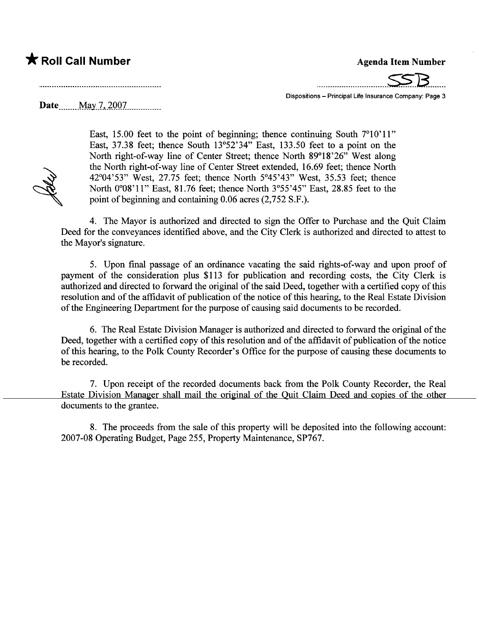Dispositions - Principal Life Insurance Company: Page 3

....\_\_\_\_\_\_\_\_\_\_\_\_..\_\_\_.\_.\_.\_\_\_\_\_~B.......

Date ........ .M.l,Y..7...iQQ7.mmm. \_ m\_

East, 15.00 feet to the point of beginning; thence continuing South  $7^{\circ}10^{\circ}11^{\circ}$ East, 37.38 feet; thence South 13°52'34" East, 133.50 feet to a point on the North right-of-way line of Center Street; thence North 89°18'26" West along the North right-of-way line of Center Street extended, 16.69 feet; thence North 42°04'53" West, 27.75 feet; thence North 5°45'43" West, 35.53 feet; thence North 0°08'11" East, 81.76 feet; thence North 3°55'45" East, 28.85 feet to the point of beginning and containing 0.06 acres (2,752 S.F.).

4. The Mayor is authorized and directed to sign the Offer to Purchase and the Quit Claim Deed for the conveyances identified above, and the City Clerk is authorized and directed to attest to the Mayor's signature.

5. Upon final passage of an ordinance vacating the said rights-of-way and upon proof of payment of the consideration plus \$113 for publication and recording costs, the City Clerk is authorized and directed to forward the original of the said Deed, together with a certified copy of this resolution and of the affidavit of publication of the notice of this hearing, to the Real Estate Division of the Engineering Department for the purose of causing said documents to be recorded.

6. The Real Estate Division Manager is authorized and directed to forward the original of the Deed, together with a certified copy of this resolution and of the affidavit of publication of the notice of this hearing, to the Polk County Recorder's Office for the purpose of causing these documents to be recorded.

7. Upon receipt of the recorded documents back from the Polk County Recorder, the Real Estate Division Manager shall mail the original of the Quit Claim Deed and copies of the other documents to the grantee.

8. The proceeds from the sale of this property will be deposited into the following account: 2007-08 Operating Budget, Page 255, Property Maintenance, SP767.

**Sales**